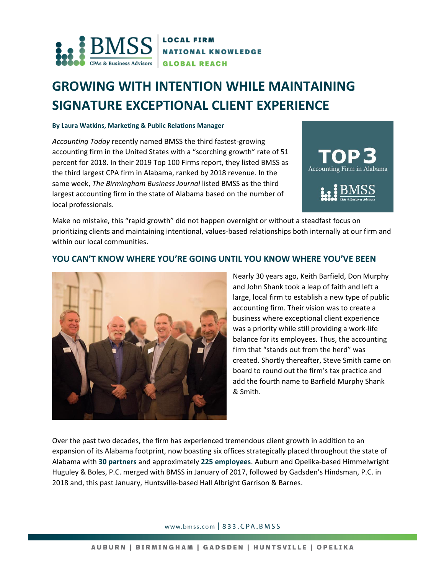

# **GROWING WITH INTENTION WHILE MAINTAINING SIGNATURE EXCEPTIONAL CLIENT EXPERIENCE**

#### **By Laura Watkins, Marketing & Public Relations Manager**

*Accounting Today* recently named BMSS the third fastest-growing accounting firm in the United States with a "scorching growth" rate of 51 percent for 2018. In their 2019 Top 100 Firms report, they listed BMSS as the third largest CPA firm in Alabama, ranked by 2018 revenue. In the same week, *The Birmingham Business Journal* listed BMSS as the third largest accounting firm in the state of Alabama based on the number of local professionals.



Make no mistake, this "rapid growth" did not happen overnight or without a steadfast focus on prioritizing clients and maintaining intentional, values-based relationships both internally at our firm and within our local communities.

### **YOU CAN'T KNOW WHERE YOU'RE GOING UNTIL YOU KNOW WHERE YOU'VE BEEN**



Nearly 30 years ago, Keith Barfield, Don Murphy and John Shank took a leap of faith and left a large, local firm to establish a new type of public accounting firm. Their vision was to create a business where exceptional client experience was a priority while still providing a work-life balance for its employees. Thus, the accounting firm that "stands out from the herd" was created. Shortly thereafter, Steve Smith came on board to round out the firm's tax practice and add the fourth name to Barfield Murphy Shank & Smith.

Over the past two decades, the firm has experienced tremendous client growth in addition to an expansion of its Alabama footprint, now boasting six offices strategically placed throughout the state of Alabama with **30 partners** and approximately **225 employees**. Auburn and Opelika-based Himmelwright Huguley & Boles, P.C. merged with BMSS in January of 2017, followed by Gadsden's Hindsman, P.C. in 2018 and, this past January, Huntsville-based Hall Albright Garrison & Barnes.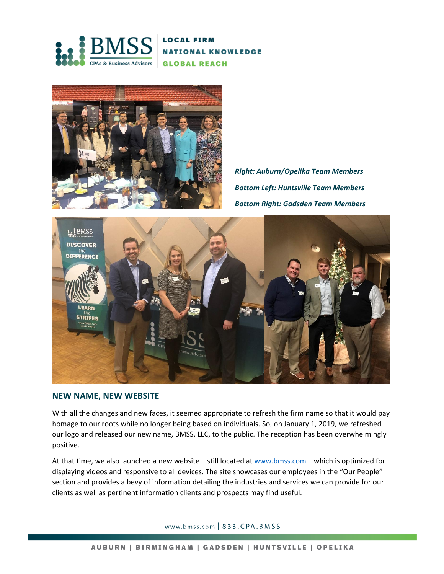



*Right: Auburn/Opelika Team Members Bottom Left: Huntsville Team Members Bottom Right: Gadsden Team Members*



#### **NEW NAME, NEW WEBSITE**

With all the changes and new faces, it seemed appropriate to refresh the firm name so that it would pay homage to our roots while no longer being based on individuals. So, on January 1, 2019, we refreshed our logo and released our new name, BMSS, LLC, to the public. The reception has been overwhelmingly positive.

At that time, we also launched a new website – still located at [www.bmss.com](http://www.bmss.com/) – which is optimized for displaying videos and responsive to all devices. The site showcases our employees in the "Our People" section and provides a bevy of information detailing the industries and services we can provide for our clients as well as pertinent information clients and prospects may find useful.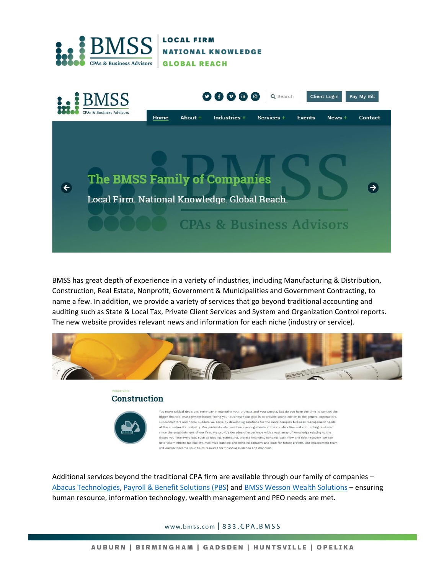



BMSS has great depth of experience in a variety of industries, including Manufacturing & Distribution, Construction, Real Estate, Nonprofit, Government & Municipalities and Government Contracting, to name a few. In addition, we provide a variety of services that go beyond traditional accounting and auditing such as State & Local Tax, Private Client Services and System and Organization Control reports. The new website provides relevant news and information for each niche (industry or service).



## Construction



.<br>You make critical decisions every day in managing your projects and your people, but do you have the time to control the bigger financial management issues facing your business? Our goal is to provide sound advice to the general contractors, subcontractors and home builders we serve by developing solutions for the more complex business management needs of the construction industry. Our professionals have been serving clients in the construction and contracting business since the establishment of our firm. We provide decades of experience with a vast array of knowledge relating to the issues you face every day, such as bidding, estimating, project financing, bonding, cash flow and cost recovery. We can help you minimize tax liability, maximize banking and bonding capacity and plan for future growth. Our engagement team will quickly become your go-to resource for financial guidance and planning

Additional services beyond the traditional CPA firm are available through our family of companies – [Abacus Technologies,](http://www.abacustechnologies.com/) [Payroll & Benefit Solutions \(PBS\)](http://pbspay.com/) and [BMSS Wesson Wealth Solutions](http://bmsswesson.com/) – ensuring human resource, information technology, wealth management and PEO needs are met.